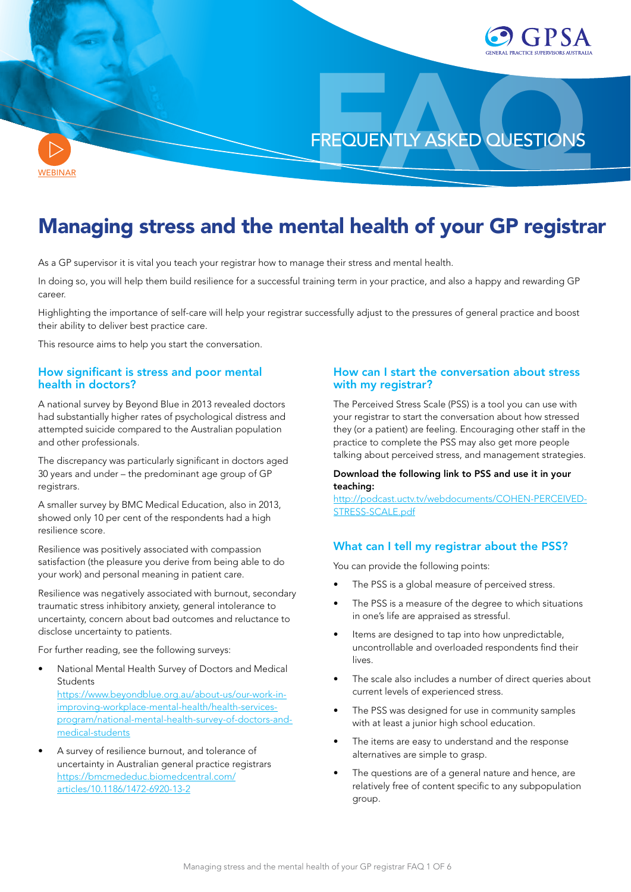

**[WEBINAR](https://youtu.be/NWle50_vNN8)** 

# Managing stress and the mental health of your GP registrar

As a GP supervisor it is vital you teach your registrar how to manage their stress and mental health.

In doing so, you will help them build resilience for a successful training term in your practice, and also a happy and rewarding GP career.

Highlighting the importance of self-care will help your registrar successfully adjust to the pressures of general practice and boost their ability to deliver best practice care.

This resource aims to help you start the conversation.

# How significant is stress and poor mental health in doctors?

A national survey by Beyond Blue in 2013 revealed doctors had substantially higher rates of psychological distress and attempted suicide compared to the Australian population and other professionals.

The discrepancy was particularly significant in doctors aged 30 years and under – the predominant age group of GP registrars.

A smaller survey by BMC Medical Education, also in 2013, showed only 10 per cent of the respondents had a high resilience score.

Resilience was positively associated with compassion satisfaction (the pleasure you derive from being able to do your work) and personal meaning in patient care.

Resilience was negatively associated with burnout, secondary traumatic stress inhibitory anxiety, general intolerance to uncertainty, concern about bad outcomes and reluctance to disclose uncertainty to patients.

For further reading, see the following surveys:

- National Mental Health Survey of Doctors and Medical **Students** [https://www.beyondblue.org.au/about-us/our-work-in](https://www.beyondblue.org.au/about-us/our-work-in-improving-workplace-mental-health/health-services-program/national-mental-health-survey-of-doctors-and-medical-students)[improving-workplace-mental-health/health-services](https://www.beyondblue.org.au/about-us/our-work-in-improving-workplace-mental-health/health-services-program/national-mental-health-survey-of-doctors-and-medical-students)[program/national-mental-health-survey-of-doctors-and](https://www.beyondblue.org.au/about-us/our-work-in-improving-workplace-mental-health/health-services-program/national-mental-health-survey-of-doctors-and-medical-students)[medical-students](https://www.beyondblue.org.au/about-us/our-work-in-improving-workplace-mental-health/health-services-program/national-mental-health-survey-of-doctors-and-medical-students)
- A survey of resilience burnout, and tolerance of uncertainty in Australian general practice registrars [https://bmcmededuc.biomedcentral.com/](https://bmcmededuc.biomedcentral.com/articles/10.1186/1472-6920-13-2) [articles/10.1186/1472-6920-13-2](https://bmcmededuc.biomedcentral.com/articles/10.1186/1472-6920-13-2)

# How can I start the conversation about stress with my registrar?

The Perceived Stress Scale (PSS) is a tool you can use with your registrar to start the conversation about how stressed they (or a patient) are feeling. Encouraging other staff in the practice to complete the PSS may also get more people talking about perceived stress, and management strategies.

### Download the following link to PSS and use it in your teaching:

[http://podcast.uctv.tv/webdocuments/COHEN-PERCEIVED-](http://podcast.uctv.tv/webdocuments/COHEN-PERCEIVED-STRESS-SCALE.pdf)[STRESS-SCALE.pdf](http://podcast.uctv.tv/webdocuments/COHEN-PERCEIVED-STRESS-SCALE.pdf)

# What can I tell my registrar about the PSS?

You can provide the following points:

- The PSS is a global measure of perceived stress.
- The PSS is a measure of the degree to which situations in one's life are appraised as stressful.
- Items are designed to tap into how unpredictable, uncontrollable and overloaded respondents find their lives.
- The scale also includes a number of direct queries about current levels of experienced stress.
- The PSS was designed for use in community samples with at least a junior high school education.
- The items are easy to understand and the response alternatives are simple to grasp.
- The questions are of a general nature and hence, are relatively free of content specific to any subpopulation group.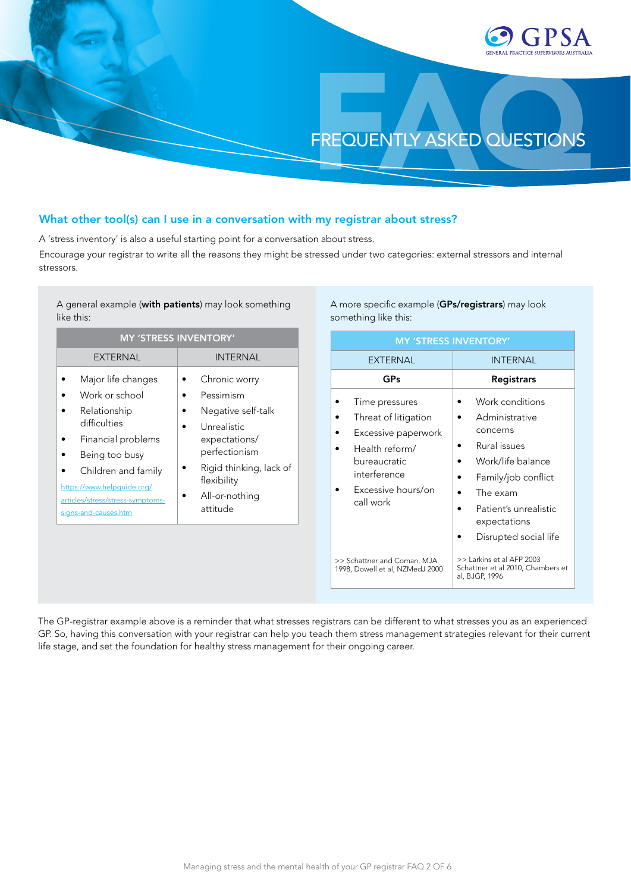

## What other tool(s) can I use in a conversation with my registrar about stress?

A 'stress inventory' is also a useful starting point for a conversation about stress.

Encourage your registrar to write all the reasons they might be stressed under two categories: external stressors and internal stressors.

A general example (with patients) may look something like this:

| <b>MY 'STRESS INVENTORY'</b>                                                                                                                                                                                                  |                                                                                                                                                                           |  |
|-------------------------------------------------------------------------------------------------------------------------------------------------------------------------------------------------------------------------------|---------------------------------------------------------------------------------------------------------------------------------------------------------------------------|--|
| EXTERNAL                                                                                                                                                                                                                      | <b>INTERNAL</b>                                                                                                                                                           |  |
| Major life changes<br>Work or school<br>Relationship<br>difficulties<br>Financial problems<br>Being too busy<br>Children and family<br>https://www.helpguide.org/<br>articles/stress/stress-symptoms-<br>signs-and-causes.htm | Chronic worry<br>Pessimism<br>Negative self-talk<br>Unrealistic<br>expectations/<br>perfectionism<br>Rigid thinking, lack of<br>flexibility<br>All-or-nothing<br>attitude |  |

A more specific example (GPs/registrars) may look something like this:

| <b>MY 'STRESS INVENTORY'</b>                                                                                                                       |                                                                                                                                                                                         |  |
|----------------------------------------------------------------------------------------------------------------------------------------------------|-----------------------------------------------------------------------------------------------------------------------------------------------------------------------------------------|--|
| <b>EXTERNAL</b>                                                                                                                                    | <b>INTERNAL</b>                                                                                                                                                                         |  |
| GPs                                                                                                                                                | Registrars                                                                                                                                                                              |  |
| Time pressures<br>Threat of litigation<br>Excessive paperwork<br>Health reform/<br>bureaucratic<br>interference<br>Excessive hours/on<br>call work | Work conditions<br>Administrative<br>concerns<br>Rural issues<br>Work/life balance<br>Family/job conflict<br>The exam<br>Patient's unrealistic<br>expectations<br>Disrupted social life |  |
| >> Schattner and Coman, MJA<br>1998, Dowell et al, NZMedJ 2000                                                                                     | >> Larkins et al AFP 2003<br>Schattner et al 2010, Chambers et<br>al, BJGP, 1996                                                                                                        |  |

The GP-registrar example above is a reminder that what stresses registrars can be different to what stresses you as an experienced GP. So, having this conversation with your registrar can help you teach them stress management strategies relevant for their current life stage, and set the foundation for healthy stress management for their ongoing career.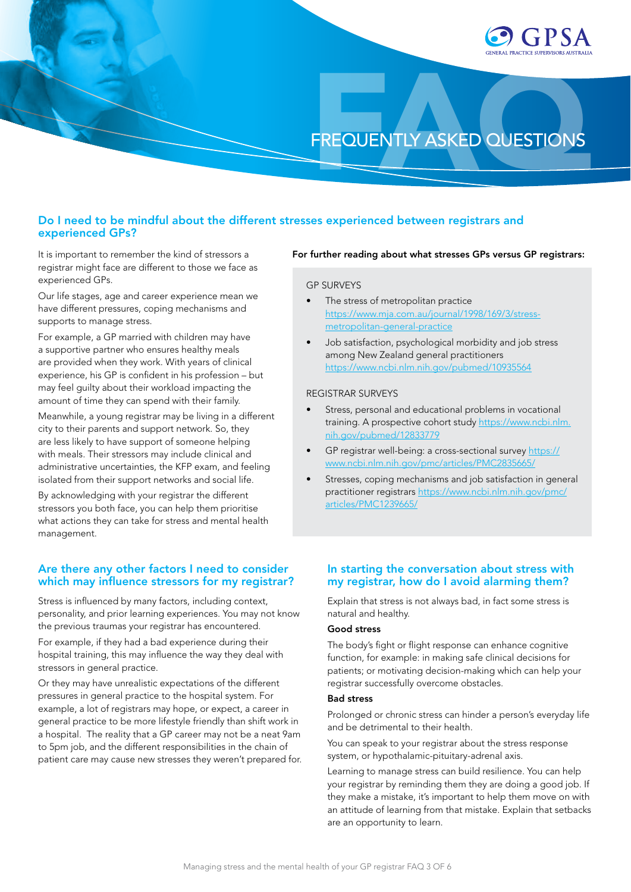

# Do I need to be mindful about the different stresses experienced between registrars and experienced GPs?

It is important to remember the kind of stressors a registrar might face are different to those we face as experienced GPs.

Our life stages, age and career experience mean we have different pressures, coping mechanisms and supports to manage stress.

For example, a GP married with children may have a supportive partner who ensures healthy meals are provided when they work. With years of clinical experience, his GP is confident in his profession – but may feel guilty about their workload impacting the amount of time they can spend with their family.

Meanwhile, a young registrar may be living in a different city to their parents and support network. So, they are less likely to have support of someone helping with meals. Their stressors may include clinical and administrative uncertainties, the KFP exam, and feeling isolated from their support networks and social life.

By acknowledging with your registrar the different stressors you both face, you can help them prioritise what actions they can take for stress and mental health management.

### Are there any other factors I need to consider which may influence stressors for my registrar?

Stress is influenced by many factors, including context, personality, and prior learning experiences. You may not know the previous traumas your registrar has encountered.

For example, if they had a bad experience during their hospital training, this may influence the way they deal with stressors in general practice.

Or they may have unrealistic expectations of the different pressures in general practice to the hospital system. For example, a lot of registrars may hope, or expect, a career in general practice to be more lifestyle friendly than shift work in a hospital. The reality that a GP career may not be a neat 9am to 5pm job, and the different responsibilities in the chain of patient care may cause new stresses they weren't prepared for.

#### For further reading about what stresses GPs versus GP registrars:

#### GP SURVEYS

- The stress of metropolitan practice [https://www.mja.com.au/journal/1998/169/3/stress](https://www.mja.com.au/journal/1998/169/3/stress-metropolitan-general-practice)[metropolitan-general-practice](https://www.mja.com.au/journal/1998/169/3/stress-metropolitan-general-practice)
- Job satisfaction, psychological morbidity and job stress among New Zealand general practitioners <https://www.ncbi.nlm.nih.gov/pubmed/10935564>

#### REGISTRAR SURVEYS

- Stress, personal and educational problems in vocational training. A prospective cohort study [https://www.ncbi.nlm.](https://www.ncbi.nlm.nih.gov/pubmed/12833779) [nih.gov/pubmed/12833779](https://www.ncbi.nlm.nih.gov/pubmed/12833779)
- GP registrar well-being: a cross-sectional survey [https://](https://www.ncbi.nlm.nih.gov/pmc/articles/PMC2835665/) [www.ncbi.nlm.nih.gov/pmc/articles/PMC2835665/](https://www.ncbi.nlm.nih.gov/pmc/articles/PMC2835665/)
- Stresses, coping mechanisms and job satisfaction in general practitioner registrars [https://www.ncbi.nlm.nih.gov/pmc/](https://www.ncbi.nlm.nih.gov/pmc/articles/PMC1239665/) [articles/PMC1239665/](https://www.ncbi.nlm.nih.gov/pmc/articles/PMC1239665/)

### In starting the conversation about stress with my registrar, how do I avoid alarming them?

Explain that stress is not always bad, in fact some stress is natural and healthy.

#### Good stress

The body's fight or flight response can enhance cognitive function, for example: in making safe clinical decisions for patients; or motivating decision-making which can help your registrar successfully overcome obstacles.

#### Bad stress

Prolonged or chronic stress can hinder a person's everyday life and be detrimental to their health.

You can speak to your registrar about the stress response system, or hypothalamic-pituitary-adrenal axis.

Learning to manage stress can build resilience. You can help your registrar by reminding them they are doing a good job. If they make a mistake, it's important to help them move on with an attitude of learning from that mistake. Explain that setbacks are an opportunity to learn.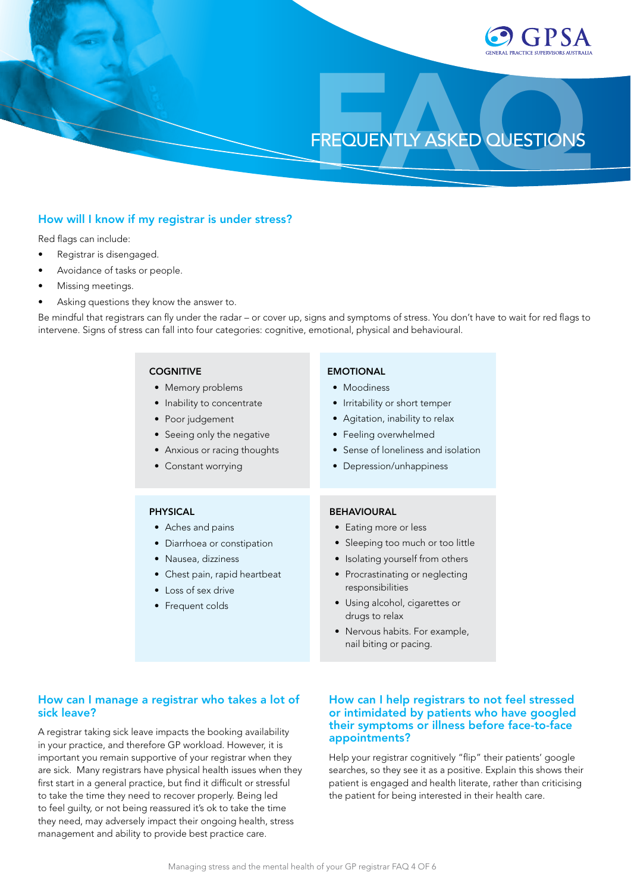

# How will I know if my registrar is under stress?

Red flags can include:

- Registrar is disengaged.
- Avoidance of tasks or people.
- Missing meetings.
- Asking questions they know the answer to.

Be mindful that registrars can fly under the radar – or cover up, signs and symptoms of stress. You don't have to wait for red flags to intervene. Signs of stress can fall into four categories: cognitive, emotional, physical and behavioural.

| <b>COGNITIVE</b><br>• Memory problems<br>Inability to concentrate<br>$\bullet$<br>Poor judgement<br>$\bullet$<br>• Seeing only the negative<br>Anxious or racing thoughts<br>$\bullet$<br>• Constant worrying | <b>EMOTIONAL</b><br>• Moodiness<br>Irritability or short temper<br>$\bullet$<br>• Agitation, inability to relax<br>• Feeling overwhelmed<br>• Sense of loneliness and isolation<br>• Depression/unhappiness                     |
|---------------------------------------------------------------------------------------------------------------------------------------------------------------------------------------------------------------|---------------------------------------------------------------------------------------------------------------------------------------------------------------------------------------------------------------------------------|
| <b>PHYSICAL</b><br>• Aches and pains<br>Diarrhoea or constipation<br>$\bullet$<br>Nausea, dizziness<br>$\bullet$<br>• Chest pain, rapid heartbeat<br>• Loss of sex drive<br>Frequent colds                    | <b>BEHAVIOURAL</b><br>• Eating more or less<br>• Sleeping too much or too little<br>• Isolating yourself from others<br>• Procrastinating or neglecting<br>responsibilities<br>• Using alcohol, cigarettes or<br>drugs to relax |
|                                                                                                                                                                                                               | • Nervous habits. For example,<br>nail biting or pacing.                                                                                                                                                                        |

# How can I manage a registrar who takes a lot of sick leave?

A registrar taking sick leave impacts the booking availability in your practice, and therefore GP workload. However, it is important you remain supportive of your registrar when they are sick. Many registrars have physical health issues when they first start in a general practice, but find it difficult or stressful to take the time they need to recover properly. Being led to feel guilty, or not being reassured it's ok to take the time they need, may adversely impact their ongoing health, stress management and ability to provide best practice care.

### How can I help registrars to not feel stressed or intimidated by patients who have googled their symptoms or illness before face-to-face appointments?

Help your registrar cognitively "flip" their patients' google searches, so they see it as a positive. Explain this shows their patient is engaged and health literate, rather than criticising the patient for being interested in their health care.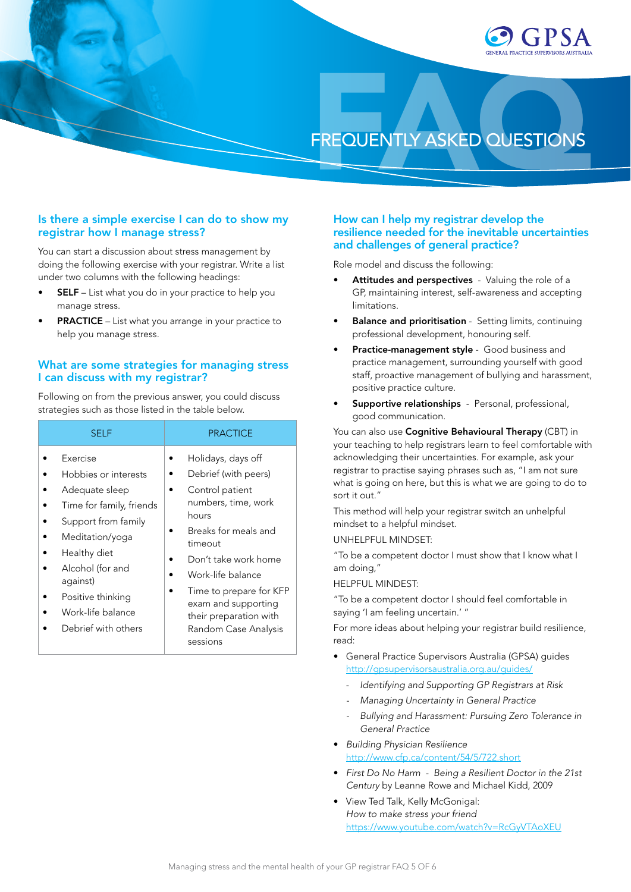

### Is there a simple exercise I can do to show my registrar how I manage stress?

You can start a discussion about stress management by doing the following exercise with your registrar. Write a list under two columns with the following headings:

- **SELF** List what you do in your practice to help you manage stress.
- **PRACTICE** List what you arrange in your practice to help you manage stress.

# What are some strategies for managing stress I can discuss with my registrar?

Following on from the previous answer, you could discuss strategies such as those listed in the table below.

| <b>SELF</b>                                                                                                                                                                                                                               | <b>PRACTICE</b>                                                                                                                                                                                                                                                                               |
|-------------------------------------------------------------------------------------------------------------------------------------------------------------------------------------------------------------------------------------------|-----------------------------------------------------------------------------------------------------------------------------------------------------------------------------------------------------------------------------------------------------------------------------------------------|
| Exercise<br>Hobbies or interests<br>Adequate sleep<br>Time for family, friends<br>Support from family<br>Meditation/yoga<br>Healthy diet<br>Alcohol (for and<br>against)<br>Positive thinking<br>Work-life balance<br>Debrief with others | Holidays, days off<br>Debrief (with peers)<br>Control patient<br>numbers, time, work<br>hours<br>Breaks for meals and<br>timeout<br>Don't take work home<br>Work-life balance<br>Time to prepare for KFP<br>exam and supporting<br>their preparation with<br>Random Case Analysis<br>sessions |

# How can I help my registrar develop the resilience needed for the inevitable uncertainties and challenges of general practice?

Role model and discuss the following:

- Attitudes and perspectives Valuing the role of a GP, maintaining interest, self-awareness and accepting limitations.
- Balance and prioritisation Setting limits, continuing professional development, honouring self.
- Practice-management style Good business and practice management, surrounding yourself with good staff, proactive management of bullying and harassment, positive practice culture.
- Supportive relationships Personal, professional, good communication.

You can also use Cognitive Behavioural Therapy (CBT) in your teaching to help registrars learn to feel comfortable with acknowledging their uncertainties. For example, ask your registrar to practise saying phrases such as, "I am not sure what is going on here, but this is what we are going to do to sort it out."

This method will help your registrar switch an unhelpful mindset to a helpful mindset.

UNHELPFUL MINDSET:

"To be a competent doctor I must show that I know what I am doing,"

HELPFUL MINDEST:

"To be a competent doctor I should feel comfortable in saying 'I am feeling uncertain.' "

For more ideas about helping your registrar build resilience, read:

- General Practice Supervisors Australia (GPSA) guides <http://gpsupervisorsaustralia.org.au/guides/>
	- *Identifying and Supporting GP Registrars at Risk*
	- *- Managing Uncertainty in General Practice*
	- *- Bullying and Harassment: Pursuing Zero Tolerance in General Practice*
- *Building Physician Resilience* <http://www.cfp.ca/content/54/5/722.short>
- *First Do No Harm Being a Resilient Doctor in the 21st Century* by Leanne Rowe and Michael Kidd, 2009
- View Ted Talk, Kelly McGonigal: *How to make stress your friend* <https://www.youtube.com/watch?v=RcGyVTAoXEU>